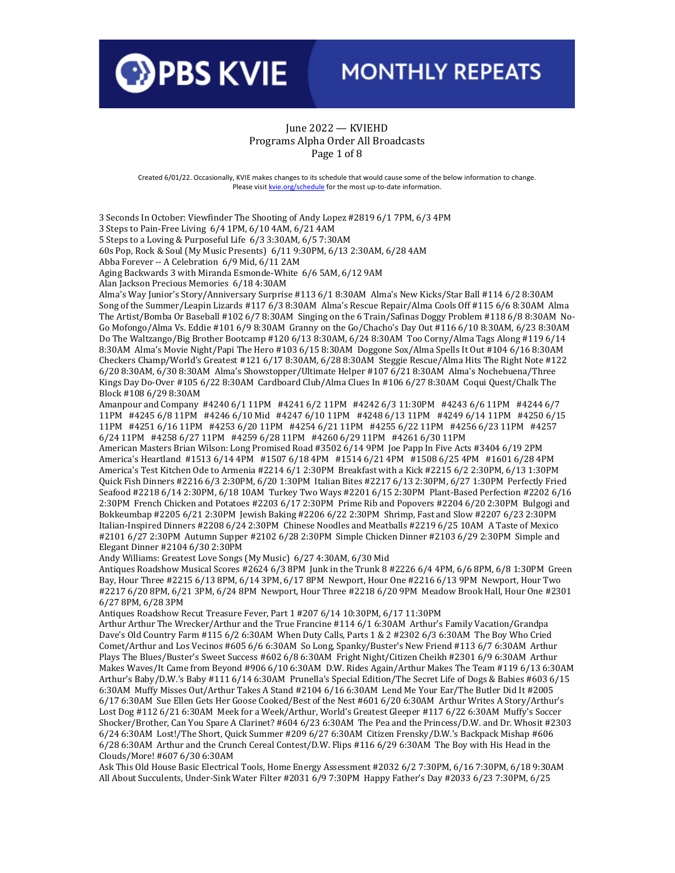

#### June 2022 — KVIEHD Programs Alpha Order All Broadcasts Page 1 of 8

Created 6/01/22. Occasionally, KVIE makes changes to its schedule that would cause some of the below information to change. Please visi[t kvie.org/schedule](http://www.kvie.org/schedule) for the most up-to-date information.

3 Seconds In October: Viewfinder The Shooting of Andy Lopez #2819 6/1 7PM, 6/3 4PM 3 Steps to Pain-Free Living 6/4 1PM, 6/10 4AM, 6/21 4AM 5 Steps to a Loving & Purposeful Life 6/3 3:30AM, 6/5 7:30AM 60s Pop, Rock & Soul (My Music Presents) 6/11 9:30PM, 6/13 2:30AM, 6/28 4AM Abba Forever -- A Celebration 6/9 Mid, 6/11 2AM Aging Backwards 3 with Miranda Esmonde-White 6/6 5AM, 6/12 9AM Alan Jackson Precious Memories 6/18 4:30AM Alma's Way Junior's Story/Anniversary Surprise #113 6/1 8:30AM Alma's New Kicks/Star Ball #114 6/2 8:30AM Song of the Summer/Leapin Lizards #117 6/3 8:30AM Alma's Rescue Repair/Alma Cools Off #115 6/6 8:30AM Alma The Artist/Bomba Or Baseball #102 6/7 8:30AM Singing on the 6 Train/Safinas Doggy Problem #118 6/8 8:30AM No-Go Mofongo/Alma Vs. Eddie #101 6/9 8:30AM Granny on the Go/Chacho's Day Out #116 6/10 8:30AM, 6/23 8:30AM Do The Waltzango/Big Brother Bootcamp #120 6/13 8:30AM, 6/24 8:30AM Too Corny/Alma Tags Along #119 6/14 8:30AM Alma's Movie Night/Papi The Hero #103 6/15 8:30AM Doggone Sox/Alma Spells It Out #104 6/16 8:30AM Checkers Champ/World's Greatest #121 6/17 8:30AM, 6/28 8:30AM Steggie Rescue/Alma Hits The Right Note #122 6/20 8:30AM, 6/30 8:30AM Alma's Showstopper/Ultimate Helper #107 6/21 8:30AM Alma's Nochebuena/Three Kings Day Do-Over #105 6/22 8:30AM Cardboard Club/Alma Clues In #106 6/27 8:30AM Coqui Quest/Chalk The Block #108 6/29 8:30AM

Amanpour and Company #4240 6/1 11PM #4241 6/2 11PM #4242 6/3 11:30PM #4243 6/6 11PM #4244 6/7 11PM #4245 6/8 11PM #4246 6/10 Mid #4247 6/10 11PM #4248 6/13 11PM #4249 6/14 11PM #4250 6/15 11PM #4251 6/16 11PM #4253 6/20 11PM #4254 6/21 11PM #4255 6/22 11PM #4256 6/23 11PM #4257 6/24 11PM #4258 6/27 11PM #4259 6/28 11PM #4260 6/29 11PM #4261 6/30 11PM

American Masters Brian Wilson: Long Promised Road #3502 6/14 9PM Joe Papp In Five Acts #3404 6/19 2PM America's Heartland #1513 6/14 4PM #1507 6/18 4PM #1514 6/21 4PM #1508 6/25 4PM #1601 6/28 4PM America's Test Kitchen Ode to Armenia #2214 6/1 2:30PM Breakfast with a Kick #2215 6/2 2:30PM, 6/13 1:30PM Quick Fish Dinners #2216 6/3 2:30PM, 6/20 1:30PM Italian Bites #2217 6/13 2:30PM, 6/27 1:30PM Perfectly Fried Seafood #2218 6/14 2:30PM, 6/18 10AM Turkey Two Ways #2201 6/15 2:30PM Plant-Based Perfection #2202 6/16 2:30PM French Chicken and Potatoes #2203 6/17 2:30PM Prime Rib and Popovers #2204 6/20 2:30PM Bulgogi and Bokkeumbap #2205 6/21 2:30PM Jewish Baking #2206 6/22 2:30PM Shrimp, Fast and Slow #2207 6/23 2:30PM Italian-Inspired Dinners #2208 6/24 2:30PM Chinese Noodles and Meatballs #2219 6/25 10AM A Taste of Mexico #2101 6/27 2:30PM Autumn Supper #2102 6/28 2:30PM Simple Chicken Dinner #2103 6/29 2:30PM Simple and Elegant Dinner #2104 6/30 2:30PM

Andy Williams: Greatest Love Songs (My Music) 6/27 4:30AM, 6/30 Mid

Antiques Roadshow Musical Scores #2624 6/3 8PM Junk in the Trunk 8 #2226 6/4 4PM, 6/6 8PM, 6/8 1:30PM Green Bay, Hour Three #2215 6/13 8PM, 6/14 3PM, 6/17 8PM Newport, Hour One #2216 6/13 9PM Newport, Hour Two #2217 6/20 8PM, 6/21 3PM, 6/24 8PM Newport, Hour Three #2218 6/20 9PM Meadow Brook Hall, Hour One #2301 6/27 8PM, 6/28 3PM

Antiques Roadshow Recut Treasure Fever, Part 1 #207 6/14 10:30PM, 6/17 11:30PM

Arthur Arthur The Wrecker/Arthur and the True Francine #114 6/1 6:30AM Arthur's Family Vacation/Grandpa Dave's Old Country Farm #115 6/2 6:30AM When Duty Calls, Parts 1 & 2 #2302 6/3 6:30AM The Boy Who Cried Comet/Arthur and Los Vecinos #605 6/6 6:30AM So Long, Spanky/Buster's New Friend #113 6/7 6:30AM Arthur Plays The Blues/Buster's Sweet Success #602 6/8 6:30AM Fright Night/Citizen Cheikh #2301 6/9 6:30AM Arthur Makes Waves/It Came from Beyond #906 6/10 6:30AM D.W. Rides Again/Arthur Makes The Team #119 6/13 6:30AM Arthur's Baby/D.W.'s Baby #111 6/14 6:30AM Prunella's Special Edition/The Secret Life of Dogs & Babies #603 6/15 6:30AM Muffy Misses Out/Arthur Takes A Stand #2104 6/16 6:30AM Lend Me Your Ear/The Butler Did It #2005 6/17 6:30AM Sue Ellen Gets Her Goose Cooked/Best of the Nest #601 6/20 6:30AM Arthur Writes A Story/Arthur's Lost Dog #112 6/21 6:30AM Meek for a Week/Arthur, World's Greatest Gleeper #117 6/22 6:30AM Muffy's Soccer Shocker/Brother, Can You Spare A Clarinet? #604 6/23 6:30AM The Pea and the Princess/D.W. and Dr. Whosit #2303 6/24 6:30AM Lost!/The Short, Quick Summer #209 6/27 6:30AM Citizen Frensky/D.W.'s Backpack Mishap #606 6/28 6:30AM Arthur and the Crunch Cereal Contest/D.W. Flips #116 6/29 6:30AM The Boy with His Head in the Clouds/More! #607 6/30 6:30AM

Ask This Old House Basic Electrical Tools, Home Energy Assessment #2032 6/2 7:30PM, 6/16 7:30PM, 6/18 9:30AM All About Succulents, Under-Sink Water Filter #2031 6/9 7:30PM Happy Father's Day #2033 6/23 7:30PM, 6/25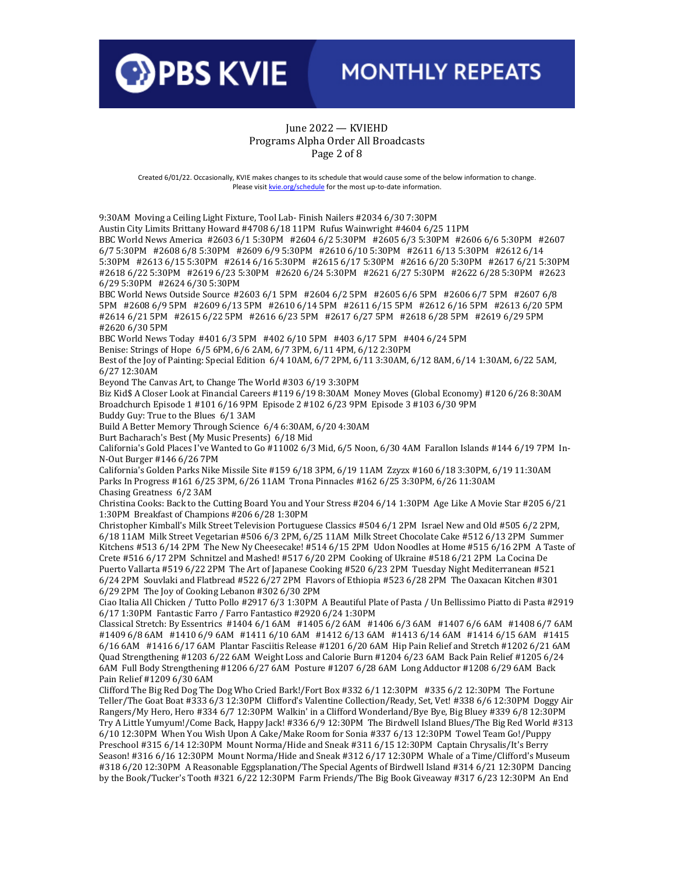

#### June 2022 — KVIEHD Programs Alpha Order All Broadcasts Page 2 of 8

Created 6/01/22. Occasionally, KVIE makes changes to its schedule that would cause some of the below information to change. Please visi[t kvie.org/schedule](http://www.kvie.org/schedule) for the most up-to-date information.

9:30AM Moving a Ceiling Light Fixture, Tool Lab- Finish Nailers #2034 6/30 7:30PM Austin City Limits Brittany Howard #4708 6/18 11PM Rufus Wainwright #4604 6/25 11PM BBC World News America #2603 6/1 5:30PM #2604 6/2 5:30PM #2605 6/3 5:30PM #2606 6/6 5:30PM #2607 6/7 5:30PM #2608 6/8 5:30PM #2609 6/9 5:30PM #2610 6/10 5:30PM #2611 6/13 5:30PM #2612 6/14 5:30PM #2613 6/15 5:30PM #2614 6/16 5:30PM #2615 6/17 5:30PM #2616 6/20 5:30PM #2617 6/21 5:30PM #2618 6/22 5:30PM #2619 6/23 5:30PM #2620 6/24 5:30PM #2621 6/27 5:30PM #2622 6/28 5:30PM #2623 6/29 5:30PM #2624 6/30 5:30PM BBC World News Outside Source #2603 6/1 5PM #2604 6/2 5PM #2605 6/6 5PM #2606 6/7 5PM #2607 6/8 5PM #2608 6/9 5PM #2609 6/13 5PM #2610 6/14 5PM #2611 6/15 5PM #2612 6/16 5PM #2613 6/20 5PM #2614 6/21 5PM #2615 6/22 5PM #2616 6/23 5PM #2617 6/27 5PM #2618 6/28 5PM #2619 6/29 5PM #2620 6/30 5PM BBC World News Today #401 6/3 5PM #402 6/10 5PM #403 6/17 5PM #404 6/24 5PM Benise: Strings of Hope 6/5 6PM, 6/6 2AM, 6/7 3PM, 6/11 4PM, 6/12 2:30PM Best of the Joy of Painting: Special Edition 6/4 10AM, 6/7 2PM, 6/11 3:30AM, 6/12 8AM, 6/14 1:30AM, 6/22 5AM, 6/27 12:30AM Beyond The Canvas Art, to Change The World #303 6/19 3:30PM Biz Kid\$ A Closer Look at Financial Careers #119 6/19 8:30AM Money Moves (Global Economy) #120 6/26 8:30AM Broadchurch Episode 1 #101 6/16 9PM Episode 2 #102 6/23 9PM Episode 3 #103 6/30 9PM Buddy Guy: True to the Blues 6/1 3AM Build A Better Memory Through Science 6/4 6:30AM, 6/20 4:30AM Burt Bacharach's Best (My Music Presents) 6/18 Mid California's Gold Places I've Wanted to Go #11002 6/3 Mid, 6/5 Noon, 6/30 4AM Farallon Islands #144 6/19 7PM In-N-Out Burger #146 6/26 7PM California's Golden Parks Nike Missile Site #159 6/18 3PM, 6/19 11AM Zzyzx #160 6/18 3:30PM, 6/19 11:30AM Parks In Progress #161 6/25 3PM, 6/26 11AM Trona Pinnacles #162 6/25 3:30PM, 6/26 11:30AM Chasing Greatness 6/2 3AM Christina Cooks: Back to the Cutting Board You and Your Stress #204 6/14 1:30PM Age Like A Movie Star #205 6/21 1:30PM Breakfast of Champions #206 6/28 1:30PM Christopher Kimball's Milk Street Television Portuguese Classics #504 6/1 2PM Israel New and Old #505 6/2 2PM, 6/18 11AM Milk Street Vegetarian #506 6/3 2PM, 6/25 11AM Milk Street Chocolate Cake #512 6/13 2PM Summer Kitchens #513 6/14 2PM The New Ny Cheesecake! #514 6/15 2PM Udon Noodles at Home #515 6/16 2PM A Taste of Crete #516 6/17 2PM Schnitzel and Mashed! #517 6/20 2PM Cooking of Ukraine #518 6/21 2PM La Cocina De Puerto Vallarta #519 6/22 2PM The Art of Japanese Cooking #520 6/23 2PM Tuesday Night Mediterranean #521 6/24 2PM Souvlaki and Flatbread #522 6/27 2PM Flavors of Ethiopia #523 6/28 2PM The Oaxacan Kitchen #301 6/29 2PM The Joy of Cooking Lebanon #302 6/30 2PM Ciao Italia All Chicken / Tutto Pollo #2917 6/3 1:30PM A Beautiful Plate of Pasta / Un Bellissimo Piatto di Pasta #2919 6/17 1:30PM Fantastic Farro / Farro Fantastico #2920 6/24 1:30PM Classical Stretch: By Essentrics #1404 6/1 6AM #1405 6/2 6AM #1406 6/3 6AM #1407 6/6 6AM #1408 6/7 6AM #1409 6/8 6AM #1410 6/9 6AM #1411 6/10 6AM #1412 6/13 6AM #1413 6/14 6AM #1414 6/15 6AM #1415 6/16 6AM #1416 6/17 6AM Plantar Fasciitis Release #1201 6/20 6AM Hip Pain Relief and Stretch #1202 6/21 6AM Quad Strengthening #1203 6/22 6AM Weight Loss and Calorie Burn #1204 6/23 6AM Back Pain Relief #1205 6/24 6AM Full Body Strengthening #1206 6/27 6AM Posture #1207 6/28 6AM Long Adductor #1208 6/29 6AM Back Pain Relief #1209 6/30 6AM Clifford The Big Red Dog The Dog Who Cried Bark!/Fort Box #332 6/1 12:30PM #335 6/2 12:30PM The Fortune Teller/The Goat Boat #333 6/3 12:30PM Clifford's Valentine Collection/Ready, Set, Vet! #338 6/6 12:30PM Doggy Air Rangers/My Hero, Hero #334 6/7 12:30PM Walkin' in a Clifford Wonderland/Bye Bye, Big Bluey #339 6/8 12:30PM Try A Little Yumyum!/Come Back, Happy Jack! #336 6/9 12:30PM The Birdwell Island Blues/The Big Red World #313

6/10 12:30PM When You Wish Upon A Cake/Make Room for Sonia #337 6/13 12:30PM Towel Team Go!/Puppy Preschool #315 6/14 12:30PM Mount Norma/Hide and Sneak #311 6/15 12:30PM Captain Chrysalis/It's Berry Season! #316 6/16 12:30PM Mount Norma/Hide and Sneak #312 6/17 12:30PM Whale of a Time/Clifford's Museum #318 6/20 12:30PM A Reasonable Eggsplanation/The Special Agents of Birdwell Island #314 6/21 12:30PM Dancing by the Book/Tucker's Tooth #321 6/22 12:30PM Farm Friends/The Big Book Giveaway #317 6/23 12:30PM An End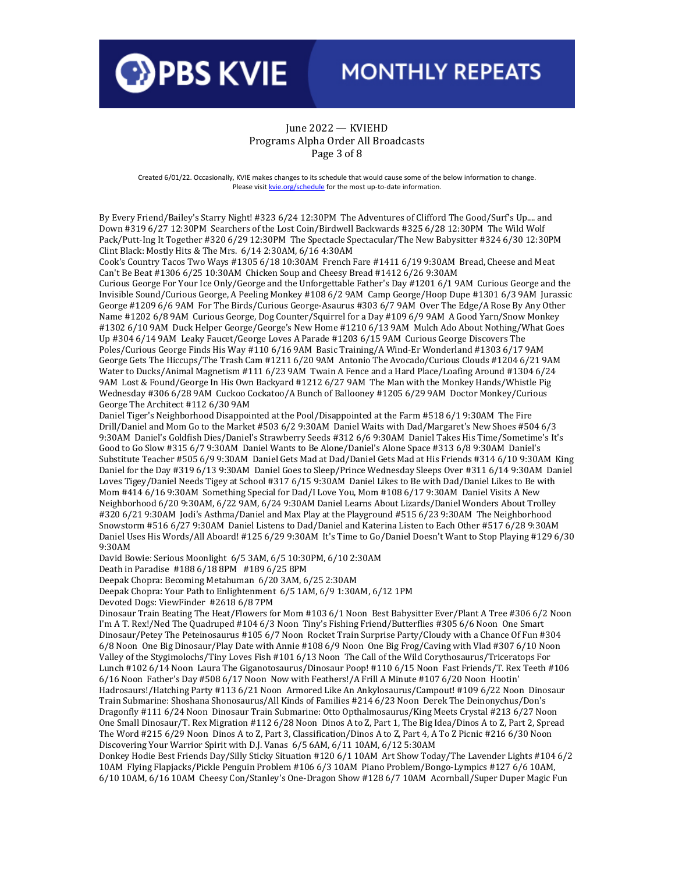

#### June 2022 — KVIEHD Programs Alpha Order All Broadcasts Page 3 of 8

Created 6/01/22. Occasionally, KVIE makes changes to its schedule that would cause some of the below information to change. Please visi[t kvie.org/schedule](http://www.kvie.org/schedule) for the most up-to-date information.

By Every Friend/Bailey's Starry Night! #323 6/24 12:30PM The Adventures of Clifford The Good/Surf's Up.... and Down #319 6/27 12:30PM Searchers of the Lost Coin/Birdwell Backwards #325 6/28 12:30PM The Wild Wolf Pack/Putt-Ing It Together #320 6/29 12:30PM The Spectacle Spectacular/The New Babysitter #324 6/30 12:30PM Clint Black: Mostly Hits & The Mrs. 6/14 2:30AM, 6/16 4:30AM

Cook's Country Tacos Two Ways #1305 6/18 10:30AM French Fare #1411 6/19 9:30AM Bread, Cheese and Meat Can't Be Beat #1306 6/25 10:30AM Chicken Soup and Cheesy Bread #1412 6/26 9:30AM

Curious George For Your Ice Only/George and the Unforgettable Father's Day #1201 6/1 9AM Curious George and the Invisible Sound/Curious George, A Peeling Monkey #108 6/2 9AM Camp George/Hoop Dupe #1301 6/3 9AM Jurassic George #1209 6/6 9AM For The Birds/Curious George-Asaurus #303 6/7 9AM Over The Edge/A Rose By Any Other Name #1202 6/8 9AM Curious George, Dog Counter/Squirrel for a Day #109 6/9 9AM A Good Yarn/Snow Monkey #1302 6/10 9AM Duck Helper George/George's New Home #1210 6/13 9AM Mulch Ado About Nothing/What Goes Up #304 6/14 9AM Leaky Faucet/George Loves A Parade #1203 6/15 9AM Curious George Discovers The Poles/Curious George Finds His Way #110 6/16 9AM Basic Training/A Wind-Er Wonderland #1303 6/17 9AM George Gets The Hiccups/The Trash Cam #1211 6/20 9AM Antonio The Avocado/Curious Clouds #1204 6/21 9AM Water to Ducks/Animal Magnetism #111 6/23 9AM Twain A Fence and a Hard Place/Loafing Around #1304 6/24 9AM Lost & Found/George In His Own Backyard #1212 6/27 9AM The Man with the Monkey Hands/Whistle Pig Wednesday #306 6/28 9AM Cuckoo Cockatoo/A Bunch of Ballooney #1205 6/29 9AM Doctor Monkey/Curious George The Architect #112 6/30 9AM

Daniel Tiger's Neighborhood Disappointed at the Pool/Disappointed at the Farm #518 6/1 9:30AM The Fire Drill/Daniel and Mom Go to the Market #503 6/2 9:30AM Daniel Waits with Dad/Margaret's New Shoes #504 6/3 9:30AM Daniel's Goldfish Dies/Daniel's Strawberry Seeds #312 6/6 9:30AM Daniel Takes His Time/Sometime's It's Good to Go Slow #315 6/7 9:30AM Daniel Wants to Be Alone/Daniel's Alone Space #313 6/8 9:30AM Daniel's Substitute Teacher #505 6/9 9:30AM Daniel Gets Mad at Dad/Daniel Gets Mad at His Friends #314 6/10 9:30AM King Daniel for the Day #319 6/13 9:30AM Daniel Goes to Sleep/Prince Wednesday Sleeps Over #311 6/14 9:30AM Daniel Loves Tigey/Daniel Needs Tigey at School #317 6/15 9:30AM Daniel Likes to Be with Dad/Daniel Likes to Be with Mom #414 6/16 9:30AM Something Special for Dad/I Love You, Mom #108 6/17 9:30AM Daniel Visits A New Neighborhood 6/20 9:30AM, 6/22 9AM, 6/24 9:30AM Daniel Learns About Lizards/Daniel Wonders About Trolley #320 6/21 9:30AM Jodi's Asthma/Daniel and Max Play at the Playground #515 6/23 9:30AM The Neighborhood Snowstorm #516 6/27 9:30AM Daniel Listens to Dad/Daniel and Katerina Listen to Each Other #517 6/28 9:30AM Daniel Uses His Words/All Aboard! #125 6/29 9:30AM It's Time to Go/Daniel Doesn't Want to Stop Playing #129 6/30 9:30AM

David Bowie: Serious Moonlight 6/5 3AM, 6/5 10:30PM, 6/10 2:30AM

Death in Paradise #188 6/18 8PM #189 6/25 8PM

Deepak Chopra: Becoming Metahuman 6/20 3AM, 6/25 2:30AM

Deepak Chopra: Your Path to Enlightenment 6/5 1AM, 6/9 1:30AM, 6/12 1PM

Devoted Dogs: ViewFinder #2618 6/8 7PM

Dinosaur Train Beating The Heat/Flowers for Mom #103 6/1 Noon Best Babysitter Ever/Plant A Tree #306 6/2 Noon I'm A T. Rex!/Ned The Quadruped #104 6/3 Noon Tiny's Fishing Friend/Butterflies #305 6/6 Noon One Smart Dinosaur/Petey The Peteinosaurus #105 6/7 Noon Rocket Train Surprise Party/Cloudy with a Chance Of Fun #304 6/8 Noon One Big Dinosaur/Play Date with Annie #108 6/9 Noon One Big Frog/Caving with Vlad #307 6/10 Noon Valley of the Stygimolochs/Tiny Loves Fish #101 6/13 Noon The Call of the Wild Corythosaurus/Triceratops For Lunch #102 6/14 Noon Laura The Giganotosaurus/Dinosaur Poop! #110 6/15 Noon Fast Friends/T. Rex Teeth #106 6/16 Noon Father's Day #508 6/17 Noon Now with Feathers!/A Frill A Minute #107 6/20 Noon Hootin' Hadrosaurs!/Hatching Party #113 6/21 Noon Armored Like An Ankylosaurus/Campout! #109 6/22 Noon Dinosaur Train Submarine: Shoshana Shonosaurus/All Kinds of Families #214 6/23 Noon Derek The Deinonychus/Don's Dragonfly #111 6/24 Noon Dinosaur Train Submarine: Otto Opthalmosaurus/King Meets Crystal #213 6/27 Noon One Small Dinosaur/T. Rex Migration #112 6/28 Noon Dinos A to Z, Part 1, The Big Idea/Dinos A to Z, Part 2, Spread The Word #215 6/29 Noon Dinos A to Z, Part 3, Classification/Dinos A to Z, Part 4, A To Z Picnic #216 6/30 Noon Discovering Your Warrior Spirit with D.J. Vanas 6/5 6AM, 6/11 10AM, 6/12 5:30AM

Donkey Hodie Best Friends Day/Silly Sticky Situation #120 6/1 10AM Art Show Today/The Lavender Lights #104 6/2 10AM Flying Flapjacks/Pickle Penguin Problem #106 6/3 10AM Piano Problem/Bongo-Lympics #127 6/6 10AM, 6/10 10AM, 6/16 10AM Cheesy Con/Stanley's One-Dragon Show #128 6/7 10AM Acornball/Super Duper Magic Fun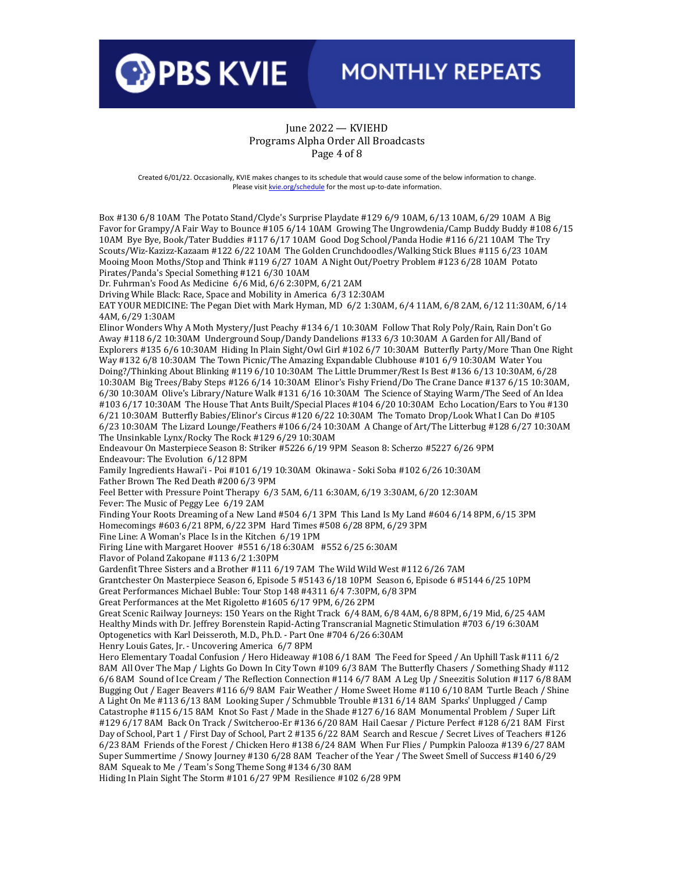

#### June 2022 — KVIEHD Programs Alpha Order All Broadcasts Page 4 of 8

Created 6/01/22. Occasionally, KVIE makes changes to its schedule that would cause some of the below information to change. Please visi[t kvie.org/schedule](http://www.kvie.org/schedule) for the most up-to-date information.

Box #130 6/8 10AM The Potato Stand/Clyde's Surprise Playdate #129 6/9 10AM, 6/13 10AM, 6/29 10AM A Big Favor for Grampy/A Fair Way to Bounce #105 6/14 10AM Growing The Ungrowdenia/Camp Buddy Buddy #108 6/15 10AM Bye Bye, Book/Tater Buddies #117 6/17 10AM Good Dog School/Panda Hodie #116 6/21 10AM The Try Scouts/Wiz-Kazizz-Kazaam #122 6/22 10AM The Golden Crunchdoodles/Walking Stick Blues #115 6/23 10AM Mooing Moon Moths/Stop and Think #119 6/27 10AM A Night Out/Poetry Problem #123 6/28 10AM Potato Pirates/Panda's Special Something #121 6/30 10AM Dr. Fuhrman's Food As Medicine 6/6 Mid, 6/6 2:30PM, 6/21 2AM Driving While Black: Race, Space and Mobility in America 6/3 12:30AM EAT YOUR MEDICINE: The Pegan Diet with Mark Hyman, MD 6/2 1:30AM, 6/4 11AM, 6/8 2AM, 6/12 11:30AM, 6/14 4AM, 6/29 1:30AM Elinor Wonders Why A Moth Mystery/Just Peachy #134 6/1 10:30AM Follow That Roly Poly/Rain, Rain Don't Go Away #118 6/2 10:30AM Underground Soup/Dandy Dandelions #133 6/3 10:30AM A Garden for All/Band of Explorers #135 6/6 10:30AM Hiding In Plain Sight/Owl Girl #102 6/7 10:30AM Butterfly Party/More Than One Right Way #132 6/8 10:30AM The Town Picnic/The Amazing Expandable Clubhouse #101 6/9 10:30AM Water You Doing?/Thinking About Blinking #119 6/10 10:30AM The Little Drummer/Rest Is Best #136 6/13 10:30AM, 6/28 10:30AM Big Trees/Baby Steps #126 6/14 10:30AM Elinor's Fishy Friend/Do The Crane Dance #137 6/15 10:30AM, 6/30 10:30AM Olive's Library/Nature Walk #131 6/16 10:30AM The Science of Staying Warm/The Seed of An Idea #103 6/17 10:30AM The House That Ants Built/Special Places #104 6/20 10:30AM Echo Location/Ears to You #130 6/21 10:30AM Butterfly Babies/Elinor's Circus #120 6/22 10:30AM The Tomato Drop/Look What I Can Do #105 6/23 10:30AM The Lizard Lounge/Feathers #106 6/24 10:30AM A Change of Art/The Litterbug #128 6/27 10:30AM The Unsinkable Lynx/Rocky The Rock #129 6/29 10:30AM Endeavour On Masterpiece Season 8: Striker #5226 6/19 9PM Season 8: Scherzo #5227 6/26 9PM Endeavour: The Evolution 6/12 8PM Family Ingredients Hawai'i - Poi #101 6/19 10:30AM Okinawa - Soki Soba #102 6/26 10:30AM Father Brown The Red Death #200 6/3 9PM Feel Better with Pressure Point Therapy 6/3 5AM, 6/11 6:30AM, 6/19 3:30AM, 6/20 12:30AM Fever: The Music of Peggy Lee 6/19 2AM Finding Your Roots Dreaming of a New Land #504 6/1 3PM This Land Is My Land #604 6/14 8PM, 6/15 3PM Homecomings #603 6/21 8PM, 6/22 3PM Hard Times #508 6/28 8PM, 6/29 3PM Fine Line: A Woman's Place Is in the Kitchen 6/19 1PM Firing Line with Margaret Hoover #551 6/18 6:30AM #552 6/25 6:30AM Flavor of Poland Zakopane #113 6/2 1:30PM Gardenfit Three Sisters and a Brother #111 6/19 7AM The Wild Wild West #112 6/26 7AM Grantchester On Masterpiece Season 6, Episode 5 #5143 6/18 10PM Season 6, Episode 6 #5144 6/25 10PM Great Performances Michael Buble: Tour Stop 148 #4311 6/4 7:30PM, 6/8 3PM Great Performances at the Met Rigoletto #1605 6/17 9PM, 6/26 2PM Great Scenic Railway Journeys: 150 Years on the Right Track 6/4 8AM, 6/8 4AM, 6/8 8PM, 6/19 Mid, 6/25 4AM Healthy Minds with Dr. Jeffrey Borenstein Rapid-Acting Transcranial Magnetic Stimulation #703 6/19 6:30AM Optogenetics with Karl Deisseroth, M.D., Ph.D. - Part One #704 6/26 6:30AM Henry Louis Gates, Jr. - Uncovering America 6/7 8PM Hero Elementary Toadal Confusion / Hero Hideaway #108 6/1 8AM The Feed for Speed / An Uphill Task #111 6/2 8AM All Over The Map / Lights Go Down In City Town #109 6/3 8AM The Butterfly Chasers / Something Shady #112 6/6 8AM Sound of Ice Cream / The Reflection Connection #114 6/7 8AM A Leg Up / Sneezitis Solution #117 6/8 8AM Bugging Out / Eager Beavers #116 6/9 8AM Fair Weather / Home Sweet Home #110 6/10 8AM Turtle Beach / Shine A Light On Me #113 6/13 8AM Looking Super / Schmubble Trouble #131 6/14 8AM Sparks' Unplugged / Camp Catastrophe #115 6/15 8AM Knot So Fast / Made in the Shade #127 6/16 8AM Monumental Problem / Super Lift #129 6/17 8AM Back On Track / Switcheroo-Er #136 6/20 8AM Hail Caesar / Picture Perfect #128 6/21 8AM First Day of School, Part 1 / First Day of School, Part 2 #135 6/22 8AM Search and Rescue / Secret Lives of Teachers #126 6/23 8AM Friends of the Forest / Chicken Hero #138 6/24 8AM When Fur Flies / Pumpkin Palooza #139 6/27 8AM Super Summertime / Snowy Journey #130 6/28 8AM Teacher of the Year / The Sweet Smell of Success #140 6/29 8AM Squeak to Me / Team's Song Theme Song #134 6/30 8AM Hiding In Plain Sight The Storm #101 6/27 9PM Resilience #102 6/28 9PM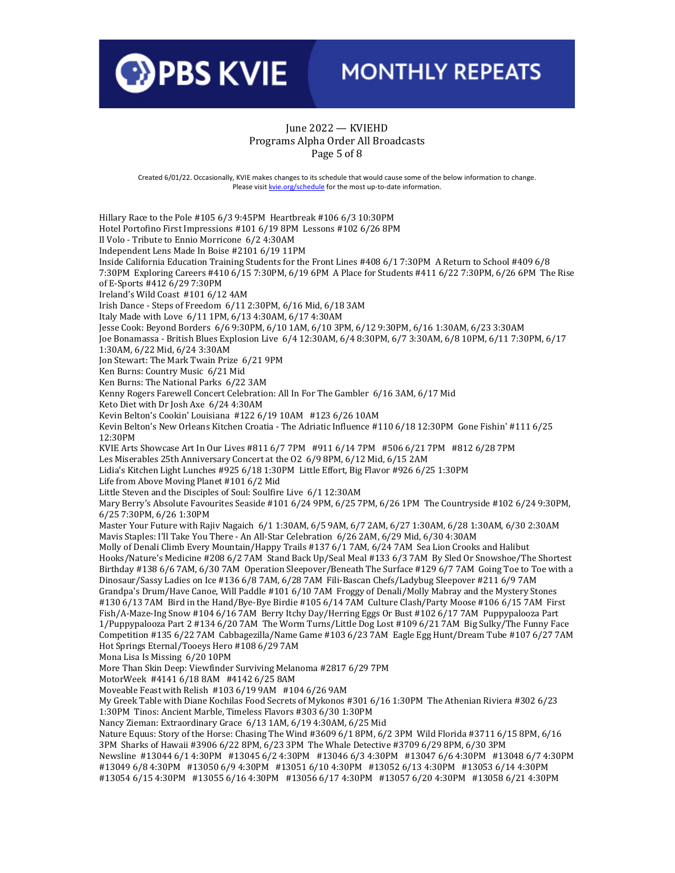

### June 2022 — KVIEHD Programs Alpha Order All Broadcasts Page 5 of 8

Created 6/01/22. Occasionally, KVIE makes changes to its schedule that would cause some of the below information to change. Please visi[t kvie.org/schedule](http://www.kvie.org/schedule) for the most up-to-date information.

Hillary Race to the Pole #105 6/3 9:45PM Heartbreak #106 6/3 10:30PM Hotel Portofino First Impressions #101 6/19 8PM Lessons #102 6/26 8PM Il Volo - Tribute to Ennio Morricone 6/2 4:30AM Independent Lens Made In Boise #2101 6/19 11PM Inside California Education Training Students for the Front Lines #408 6/1 7:30PM A Return to School #409 6/8 7:30PM Exploring Careers #410 6/15 7:30PM, 6/19 6PM A Place for Students #411 6/22 7:30PM, 6/26 6PM The Rise of E-Sports #412 6/29 7:30PM Ireland's Wild Coast #101 6/12 4AM Irish Dance - Steps of Freedom 6/11 2:30PM, 6/16 Mid, 6/18 3AM Italy Made with Love 6/11 1PM, 6/13 4:30AM, 6/17 4:30AM Jesse Cook: Beyond Borders 6/6 9:30PM, 6/10 1AM, 6/10 3PM, 6/12 9:30PM, 6/16 1:30AM, 6/23 3:30AM Joe Bonamassa - British Blues Explosion Live 6/4 12:30AM, 6/4 8:30PM, 6/7 3:30AM, 6/8 10PM, 6/11 7:30PM, 6/17 1:30AM, 6/22 Mid, 6/24 3:30AM Jon Stewart: The Mark Twain Prize 6/21 9PM Ken Burns: Country Music 6/21 Mid Ken Burns: The National Parks 6/22 3AM Kenny Rogers Farewell Concert Celebration: All In For The Gambler 6/16 3AM, 6/17 Mid Keto Diet with Dr Josh Axe 6/24 4:30AM Kevin Belton's Cookin' Louisiana #122 6/19 10AM #123 6/26 10AM Kevin Belton's New Orleans Kitchen Croatia - The Adriatic Influence #110 6/18 12:30PM Gone Fishin' #111 6/25 12:30PM KVIE Arts Showcase Art In Our Lives #811 6/7 7PM #911 6/14 7PM #506 6/21 7PM #812 6/28 7PM Les Miserables 25th Anniversary Concert at the O2 6/9 8PM, 6/12 Mid, 6/15 2AM Lidia's Kitchen Light Lunches #925 6/18 1:30PM Little Effort, Big Flavor #926 6/25 1:30PM Life from Above Moving Planet #101 6/2 Mid Little Steven and the Disciples of Soul: Soulfire Live 6/1 12:30AM Mary Berry's Absolute Favourites Seaside #101 6/24 9PM, 6/25 7PM, 6/26 1PM The Countryside #102 6/24 9:30PM, 6/25 7:30PM, 6/26 1:30PM Master Your Future with Rajiv Nagaich 6/1 1:30AM, 6/5 9AM, 6/7 2AM, 6/27 1:30AM, 6/28 1:30AM, 6/30 2:30AM Mavis Staples: I'll Take You There - An All-Star Celebration 6/26 2AM, 6/29 Mid, 6/30 4:30AM Molly of Denali Climb Every Mountain/Happy Trails #137 6/1 7AM, 6/24 7AM Sea Lion Crooks and Halibut Hooks/Nature's Medicine #208 6/2 7AM Stand Back Up/Seal Meal #133 6/3 7AM By Sled Or Snowshoe/The Shortest Birthday #138 6/6 7AM, 6/30 7AM Operation Sleepover/Beneath The Surface #129 6/7 7AM Going Toe to Toe with a Dinosaur/Sassy Ladies on Ice #136 6/8 7AM, 6/28 7AM Fili-Bascan Chefs/Ladybug Sleepover #211 6/9 7AM Grandpa's Drum/Have Canoe, Will Paddle #101 6/10 7AM Froggy of Denali/Molly Mabray and the Mystery Stones #130 6/13 7AM Bird in the Hand/Bye-Bye Birdie #105 6/14 7AM Culture Clash/Party Moose #106 6/15 7AM First Fish/A-Maze-Ing Snow #104 6/16 7AM Berry Itchy Day/Herring Eggs Or Bust #102 6/17 7AM Puppypalooza Part 1/Puppypalooza Part 2 #134 6/20 7AM The Worm Turns/Little Dog Lost #109 6/21 7AM Big Sulky/The Funny Face Competition #135 6/22 7AM Cabbagezilla/Name Game #103 6/23 7AM Eagle Egg Hunt/Dream Tube #107 6/27 7AM Hot Springs Eternal/Tooeys Hero #108 6/29 7AM Mona Lisa Is Missing 6/20 10PM More Than Skin Deep: Viewfinder Surviving Melanoma #2817 6/29 7PM MotorWeek #4141 6/18 8AM #4142 6/25 8AM Moveable Feast with Relish #103 6/19 9AM #104 6/26 9AM My Greek Table with Diane Kochilas Food Secrets of Mykonos #301 6/16 1:30PM The Athenian Riviera #302 6/23 1:30PM Tinos: Ancient Marble, Timeless Flavors #303 6/30 1:30PM Nancy Zieman: Extraordinary Grace 6/13 1AM, 6/19 4:30AM, 6/25 Mid Nature Equus: Story of the Horse: Chasing The Wind #3609 6/1 8PM, 6/2 3PM Wild Florida #3711 6/15 8PM, 6/16 3PM Sharks of Hawaii #3906 6/22 8PM, 6/23 3PM The Whale Detective #3709 6/29 8PM, 6/30 3PM Newsline #13044 6/1 4:30PM #13045 6/2 4:30PM #13046 6/3 4:30PM #13047 6/6 4:30PM #13048 6/7 4:30PM #13049 6/8 4:30PM #13050 6/9 4:30PM #13051 6/10 4:30PM #13052 6/13 4:30PM #13053 6/14 4:30PM #13054 6/15 4:30PM #13055 6/16 4:30PM #13056 6/17 4:30PM #13057 6/20 4:30PM #13058 6/21 4:30PM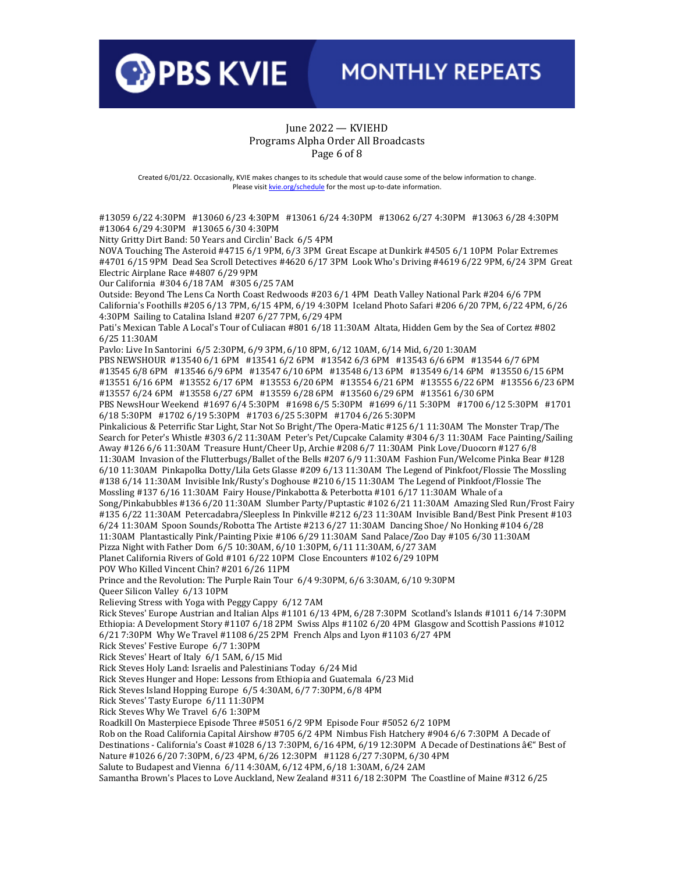

### June 2022 — KVIEHD Programs Alpha Order All Broadcasts Page 6 of 8

Created 6/01/22. Occasionally, KVIE makes changes to its schedule that would cause some of the below information to change. Please visi[t kvie.org/schedule](http://www.kvie.org/schedule) for the most up-to-date information.

#13059 6/22 4:30PM #13060 6/23 4:30PM #13061 6/24 4:30PM #13062 6/27 4:30PM #13063 6/28 4:30PM #13064 6/29 4:30PM #13065 6/30 4:30PM Nitty Gritty Dirt Band: 50 Years and Circlin' Back 6/5 4PM NOVA Touching The Asteroid #4715 6/1 9PM, 6/3 3PM Great Escape at Dunkirk #4505 6/1 10PM Polar Extremes #4701 6/15 9PM Dead Sea Scroll Detectives #4620 6/17 3PM Look Who's Driving #4619 6/22 9PM, 6/24 3PM Great Electric Airplane Race #4807 6/29 9PM Our California #304 6/18 7AM #305 6/25 7AM Outside: Beyond The Lens Ca North Coast Redwoods #203 6/1 4PM Death Valley National Park #204 6/6 7PM California's Foothills #205 6/13 7PM, 6/15 4PM, 6/19 4:30PM Iceland Photo Safari #206 6/20 7PM, 6/22 4PM, 6/26 4:30PM Sailing to Catalina Island #207 6/27 7PM, 6/29 4PM Pati's Mexican Table A Local's Tour of Culiacan #801 6/18 11:30AM Altata, Hidden Gem by the Sea of Cortez #802 6/25 11:30AM Pavlo: Live In Santorini 6/5 2:30PM, 6/9 3PM, 6/10 8PM, 6/12 10AM, 6/14 Mid, 6/20 1:30AM PBS NEWSHOUR #13540 6/1 6PM #13541 6/2 6PM #13542 6/3 6PM #13543 6/6 6PM #13544 6/7 6PM #13545 6/8 6PM #13546 6/9 6PM #13547 6/10 6PM #13548 6/13 6PM #13549 6/14 6PM #13550 6/15 6PM #13551 6/16 6PM #13552 6/17 6PM #13553 6/20 6PM #13554 6/21 6PM #13555 6/22 6PM #13556 6/23 6PM #13557 6/24 6PM #13558 6/27 6PM #13559 6/28 6PM #13560 6/29 6PM #13561 6/30 6PM PBS NewsHour Weekend #1697 6/4 5:30PM #1698 6/5 5:30PM #1699 6/11 5:30PM #1700 6/12 5:30PM #1701 6/18 5:30PM #1702 6/19 5:30PM #1703 6/25 5:30PM #1704 6/26 5:30PM Pinkalicious & Peterrific Star Light, Star Not So Bright/The Opera-Matic #125 6/1 11:30AM The Monster Trap/The Search for Peter's Whistle #303 6/2 11:30AM Peter's Pet/Cupcake Calamity #304 6/3 11:30AM Face Painting/Sailing Away #126 6/6 11:30AM Treasure Hunt/Cheer Up, Archie #208 6/7 11:30AM Pink Love/Duocorn #127 6/8 11:30AM Invasion of the Flutterbugs/Ballet of the Bells #207 6/9 11:30AM Fashion Fun/Welcome Pinka Bear #128 6/10 11:30AM Pinkapolka Dotty/Lila Gets Glasse #209 6/13 11:30AM The Legend of Pinkfoot/Flossie The Mossling #138 6/14 11:30AM Invisible Ink/Rusty's Doghouse #210 6/15 11:30AM The Legend of Pinkfoot/Flossie The Mossling #137 6/16 11:30AM Fairy House/Pinkabotta & Peterbotta #101 6/17 11:30AM Whale of a Song/Pinkabubbles #136 6/20 11:30AM Slumber Party/Puptastic #102 6/21 11:30AM Amazing Sled Run/Frost Fairy #135 6/22 11:30AM Petercadabra/Sleepless In Pinkville #212 6/23 11:30AM Invisible Band/Best Pink Present #103 6/24 11:30AM Spoon Sounds/Robotta The Artiste #213 6/27 11:30AM Dancing Shoe/ No Honking #104 6/28 11:30AM Plantastically Pink/Painting Pixie #106 6/29 11:30AM Sand Palace/Zoo Day #105 6/30 11:30AM Pizza Night with Father Dom 6/5 10:30AM, 6/10 1:30PM, 6/11 11:30AM, 6/27 3AM Planet California Rivers of Gold #101 6/22 10PM Close Encounters #102 6/29 10PM POV Who Killed Vincent Chin? #201 6/26 11PM Prince and the Revolution: The Purple Rain Tour 6/4 9:30PM, 6/6 3:30AM, 6/10 9:30PM Queer Silicon Valley 6/13 10PM Relieving Stress with Yoga with Peggy Cappy 6/12 7AM Rick Steves' Europe Austrian and Italian Alps #1101 6/13 4PM, 6/28 7:30PM Scotland's Islands #1011 6/14 7:30PM Ethiopia: A Development Story #1107 6/18 2PM Swiss Alps #1102 6/20 4PM Glasgow and Scottish Passions #1012 6/21 7:30PM Why We Travel #1108 6/25 2PM French Alps and Lyon #1103 6/27 4PM Rick Steves' Festive Europe 6/7 1:30PM Rick Steves' Heart of Italy 6/1 5AM, 6/15 Mid Rick Steves Holy Land: Israelis and Palestinians Today 6/24 Mid Rick Steves Hunger and Hope: Lessons from Ethiopia and Guatemala 6/23 Mid Rick Steves Island Hopping Europe 6/5 4:30AM, 6/7 7:30PM, 6/8 4PM Rick Steves' Tasty Europe 6/11 11:30PM Rick Steves Why We Travel 6/6 1:30PM Roadkill On Masterpiece Episode Three #5051 6/2 9PM Episode Four #5052 6/2 10PM Rob on the Road California Capital Airshow #705 6/2 4PM Nimbus Fish Hatchery #904 6/6 7:30PM A Decade of Destinations - California's Coast #1028 6/13 7:30PM, 6/16 4PM, 6/19 12:30PM A Decade of Destinations â $\in$ " Best of Nature #1026 6/20 7:30PM, 6/23 4PM, 6/26 12:30PM #1128 6/27 7:30PM, 6/30 4PM Salute to Budapest and Vienna 6/11 4:30AM, 6/12 4PM, 6/18 1:30AM, 6/24 2AM

Samantha Brown's Places to Love Auckland, New Zealand #311 6/18 2:30PM The Coastline of Maine #312 6/25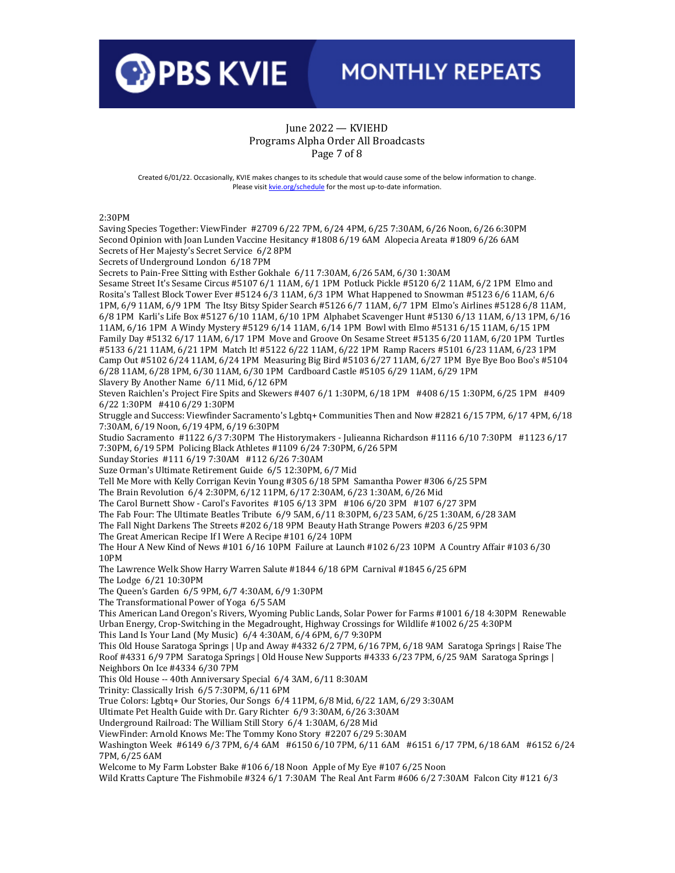

#### June 2022 — KVIEHD Programs Alpha Order All Broadcasts Page 7 of 8

Created 6/01/22. Occasionally, KVIE makes changes to its schedule that would cause some of the below information to change. Please visi[t kvie.org/schedule](http://www.kvie.org/schedule) for the most up-to-date information.

#### 2:30PM

Saving Species Together: ViewFinder #2709 6/22 7PM, 6/24 4PM, 6/25 7:30AM, 6/26 Noon, 6/26 6:30PM Second Opinion with Joan Lunden Vaccine Hesitancy #1808 6/19 6AM Alopecia Areata #1809 6/26 6AM Secrets of Her Majesty's Secret Service 6/2 8PM Secrets of Underground London 6/18 7PM Secrets to Pain-Free Sitting with Esther Gokhale 6/11 7:30AM, 6/26 5AM, 6/30 1:30AM Sesame Street It's Sesame Circus #5107 6/1 11AM, 6/1 1PM Potluck Pickle #5120 6/2 11AM, 6/2 1PM Elmo and Rosita's Tallest Block Tower Ever #5124 6/3 11AM, 6/3 1PM What Happened to Snowman #5123 6/6 11AM, 6/6 1PM, 6/9 11AM, 6/9 1PM The Itsy Bitsy Spider Search #5126 6/7 11AM, 6/7 1PM Elmo's Airlines #5128 6/8 11AM, 6/8 1PM Karli's Life Box #5127 6/10 11AM, 6/10 1PM Alphabet Scavenger Hunt #5130 6/13 11AM, 6/13 1PM, 6/16 11AM, 6/16 1PM A Windy Mystery #5129 6/14 11AM, 6/14 1PM Bowl with Elmo #5131 6/15 11AM, 6/15 1PM Family Day #5132 6/17 11AM, 6/17 1PM Move and Groove On Sesame Street #5135 6/20 11AM, 6/20 1PM Turtles #5133 6/21 11AM, 6/21 1PM Match It! #5122 6/22 11AM, 6/22 1PM Ramp Racers #5101 6/23 11AM, 6/23 1PM Camp Out #5102 6/24 11AM, 6/24 1PM Measuring Big Bird #5103 6/27 11AM, 6/27 1PM Bye Bye Boo Boo's #5104 6/28 11AM, 6/28 1PM, 6/30 11AM, 6/30 1PM Cardboard Castle #5105 6/29 11AM, 6/29 1PM Slavery By Another Name 6/11 Mid, 6/12 6PM Steven Raichlen's Project Fire Spits and Skewers #407 6/1 1:30PM, 6/18 1PM #408 6/15 1:30PM, 6/25 1PM #409 6/22 1:30PM #410 6/29 1:30PM Struggle and Success: Viewfinder Sacramento's Lgbtq+ Communities Then and Now #2821 6/15 7PM, 6/17 4PM, 6/18 7:30AM, 6/19 Noon, 6/19 4PM, 6/19 6:30PM Studio Sacramento #1122 6/3 7:30PM The Historymakers - Julieanna Richardson #1116 6/10 7:30PM #1123 6/17 7:30PM, 6/19 5PM Policing Black Athletes #1109 6/24 7:30PM, 6/26 5PM Sunday Stories #111 6/19 7:30AM #112 6/26 7:30AM Suze Orman's Ultimate Retirement Guide 6/5 12:30PM, 6/7 Mid Tell Me More with Kelly Corrigan Kevin Young #305 6/18 5PM Samantha Power #306 6/25 5PM The Brain Revolution 6/4 2:30PM, 6/12 11PM, 6/17 2:30AM, 6/23 1:30AM, 6/26 Mid The Carol Burnett Show - Carol's Favorites #105 6/13 3PM #106 6/20 3PM #107 6/27 3PM The Fab Four: The Ultimate Beatles Tribute 6/9 5AM, 6/11 8:30PM, 6/23 5AM, 6/25 1:30AM, 6/28 3AM The Fall Night Darkens The Streets #202 6/18 9PM Beauty Hath Strange Powers #203 6/25 9PM The Great American Recipe If I Were A Recipe #101 6/24 10PM The Hour A New Kind of News #101 6/16 10PM Failure at Launch #102 6/23 10PM A Country Affair #103 6/30 10PM The Lawrence Welk Show Harry Warren Salute #1844 6/18 6PM Carnival #1845 6/25 6PM The Lodge 6/21 10:30PM The Queen's Garden 6/5 9PM, 6/7 4:30AM, 6/9 1:30PM The Transformational Power of Yoga 6/5 5AM This American Land Oregon's Rivers, Wyoming Public Lands, Solar Power for Farms #1001 6/18 4:30PM Renewable Urban Energy, Crop-Switching in the Megadrought, Highway Crossings for Wildlife #1002 6/25 4:30PM This Land Is Your Land (My Music) 6/4 4:30AM, 6/4 6PM, 6/7 9:30PM This Old House Saratoga Springs | Up and Away #4332 6/2 7PM, 6/16 7PM, 6/18 9AM Saratoga Springs | Raise The Roof #4331 6/9 7PM Saratoga Springs | Old House New Supports #4333 6/23 7PM, 6/25 9AM Saratoga Springs | Neighbors On Ice #4334 6/30 7PM This Old House -- 40th Anniversary Special 6/4 3AM, 6/11 8:30AM Trinity: Classically Irish 6/5 7:30PM, 6/11 6PM True Colors: Lgbtq+ Our Stories, Our Songs 6/4 11PM, 6/8 Mid, 6/22 1AM, 6/29 3:30AM Ultimate Pet Health Guide with Dr. Gary Richter 6/9 3:30AM, 6/26 3:30AM Underground Railroad: The William Still Story 6/4 1:30AM, 6/28 Mid ViewFinder: Arnold Knows Me: The Tommy Kono Story #2207 6/29 5:30AM Washington Week #6149 6/3 7PM, 6/4 6AM #6150 6/10 7PM, 6/11 6AM #6151 6/17 7PM, 6/18 6AM #6152 6/24 7PM, 6/25 6AM Welcome to My Farm Lobster Bake #106 6/18 Noon Apple of My Eye #107 6/25 Noon Wild Kratts Capture The Fishmobile #324 6/1 7:30AM The Real Ant Farm #606 6/2 7:30AM Falcon City #121 6/3